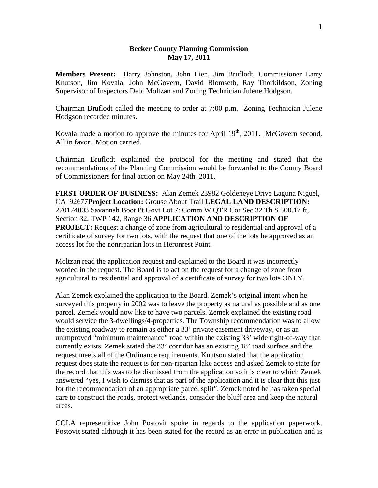## **Becker County Planning Commission May 17, 2011**

**Members Present:** Harry Johnston, John Lien, Jim Bruflodt, Commissioner Larry Knutson, Jim Kovala, John McGovern, David Blomseth, Ray Thorkildson, Zoning Supervisor of Inspectors Debi Moltzan and Zoning Technician Julene Hodgson.

Chairman Bruflodt called the meeting to order at 7:00 p.m. Zoning Technician Julene Hodgson recorded minutes.

Kovala made a motion to approve the minutes for April  $19<sup>th</sup>$ , 2011. McGovern second. All in favor. Motion carried.

Chairman Bruflodt explained the protocol for the meeting and stated that the recommendations of the Planning Commission would be forwarded to the County Board of Commissioners for final action on May 24th, 2011.

**FIRST ORDER OF BUSINESS:** Alan Zemek 23982 Goldeneye Drive Laguna Niguel, CA 92677**Project Location:** Grouse About Trail **LEGAL LAND DESCRIPTION:** 270174003 Savannah Boot Pt Govt Lot 7: Comm W QTR Cor Sec 32 Th S 300.17 ft, Section 32, TWP 142, Range 36 **APPLICATION AND DESCRIPTION OF PROJECT:** Request a change of zone from agricultural to residential and approval of a certificate of survey for two lots, with the request that one of the lots be approved as an access lot for the nonriparian lots in Heronrest Point.

Moltzan read the application request and explained to the Board it was incorrectly worded in the request. The Board is to act on the request for a change of zone from agricultural to residential and approval of a certificate of survey for two lots ONLY.

Alan Zemek explained the application to the Board. Zemek's original intent when he surveyed this property in 2002 was to leave the property as natural as possible and as one parcel. Zemek would now like to have two parcels. Zemek explained the existing road would service the 3-dwellings/4-properties. The Township recommendation was to allow the existing roadway to remain as either a 33' private easement driveway, or as an unimproved "minimum maintenance" road within the existing 33' wide right-of-way that currently exists. Zemek stated the 33' corridor has an existing 18' road surface and the request meets all of the Ordinance requirements. Knutson stated that the application request does state the request is for non-riparian lake access and asked Zemek to state for the record that this was to be dismissed from the application so it is clear to which Zemek answered "yes, I wish to dismiss that as part of the application and it is clear that this just for the recommendation of an appropriate parcel split". Zemek noted he has taken special care to construct the roads, protect wetlands, consider the bluff area and keep the natural areas.

COLA representitive John Postovit spoke in regards to the application paperwork. Postovit stated although it has been stated for the record as an error in publication and is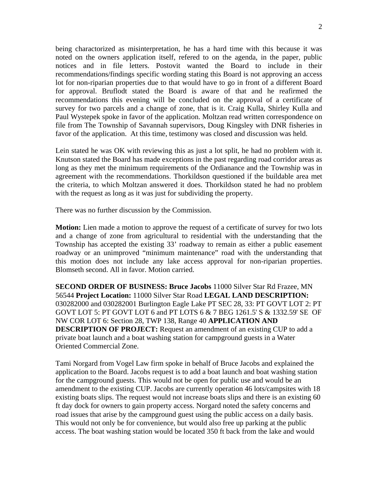being charactorized as misinterpretation, he has a hard time with this because it was noted on the owners application itself, refered to on the agenda, in the paper, public notices and in file letters. Postovit wanted the Board to include in their recommendations/findings specific wording stating this Board is not approving an access lot for non-riparian properties due to that would have to go in front of a different Board for approval. Bruflodt stated the Board is aware of that and he reafirmed the recommendations this evening will be concluded on the approval of a certificate of survey for two parcels and a change of zone, that is it. Craig Kulla, Shirley Kulla and Paul Wystepek spoke in favor of the application. Moltzan read written correspondence on file from The Township of Savannah supervisors, Doug Kingsley with DNR fisheries in favor of the application. At this time, testimony was closed and discussion was held.

Lein stated he was OK with reviewing this as just a lot split, he had no problem with it. Knutson stated the Board has made exceptions in the past regarding road corridor areas as long as they met the minimum requirements of the Ordianance and the Township was in agreement with the recommendations. Thorkildson questioned if the buildable area met the criteria, to which Moltzan answered it does. Thorkildson stated he had no problem with the request as long as it was just for subdividing the property.

There was no further discussion by the Commission.

**Motion:** Lien made a motion to approve the request of a certificate of survey for two lots and a change of zone from agricultural to residential with the understanding that the Township has accepted the existing 33' roadway to remain as either a public easement roadway or an unimproved "minimum maintenance" road with the understanding that this motion does not include any lake access approval for non-riparian properties. Blomseth second. All in favor. Motion carried.

**SECOND ORDER OF BUSINESS: Bruce Jacobs** 11000 Silver Star Rd Frazee, MN 56544 **Project Location:** 11000 Silver Star Road **LEGAL LAND DESCRIPTION:** 030282000 and 030282001 Burlington Eagle Lake PT SEC 28, 33: PT GOVT LOT 2: PT GOVT LOT 5: PT GOVT LOT 6 and PT LOTS 6 & 7 BEG 1261.5' S & 1332.59' SE OF NW COR LOT 6: Section 28, TWP 138, Range 40 **APPLICATION AND DESCRIPTION OF PROJECT:** Request an amendment of an existing CUP to add a private boat launch and a boat washing station for campground guests in a Water Oriented Commercial Zone.

Tami Norgard from Vogel Law firm spoke in behalf of Bruce Jacobs and explained the application to the Board. Jacobs request is to add a boat launch and boat washing station for the campground guests. This would not be open for public use and would be an amendment to the existing CUP. Jacobs are currently operation 46 lots/campsites with 18 existing boats slips. The request would not increase boats slips and there is an existing 60 ft day dock for owners to gain property access. Norgard noted the safety concerns and road issues that arise by the campground guest using the public access on a daily basis. This would not only be for convenience, but would also free up parking at the public access. The boat washing station would be located 350 ft back from the lake and would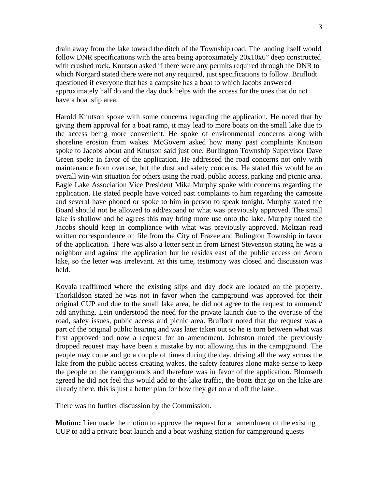drain away from the lake toward the ditch of the Township road. The landing itself would follow DNR specifications with the area being approximately 20x10x6" deep constructed with crushed rock. Knutson asked if there were any permits required through the DNR to which Norgard stated there were not any required, just specifications to follow. Bruflodt questioned if everyone that has a campsite has a boat to which Jacobs answered approximately half do and the day dock helps with the access for the ones that do not have a boat slip area.

Harold Knutson spoke with some concerns regarding the application. He noted that by giving them approval for a boat ramp, it may lead to more boats on the small lake due to the access being more convenient. He spoke of environmental concerns along with shoreline erosion from wakes. McGovern asked how many past complaints Knutson spoke to Jacobs about and Knutson said just one. Burlington Township Supervisor Dave Green spoke in favor of the application. He addressed the road concerns not only with maintenance from overuse, but the dust and safety concerns. He stated this would be an overall win-win situation for others using the road, public access, parking and picnic area. Eagle Lake Association Vice President Mike Murphy spoke with concerns regarding the application. He stated people have voiced past complaints to him regarding the campsite and several have phoned or spoke to him in person to speak tonight. Murphy stated the Board should not be allowed to add/expand to what was previously approved. The small lake is shallow and he agrees this may bring more use onto the lake. Murphy noted the Jacobs should keep in compliance with what was previously approved. Moltzan read written correspondence on file from the City of Frazee and Bulington Township in favor of the application. There was also a letter sent in from Ernest Stevenson stating he was a neighbor and against the application but he resides east of the public access on Acorn lake, so the letter was irrelevant. At this time, testimony was closed and discussion was held.

Kovala reaffirmed where the existing slips and day dock are located on the property. Thorkildson stated he was not in favor when the campground was approved for their original CUP and due to the small lake area, he did not agree to the request to ammend/ add anything. Lein understood the need for the private launch due to the overuse of the road, safey issues, public access and picnic area. Bruflodt noted that the request was a part of the original public hearing and was later taken out so he is torn between what was first approved and now a request for an amendment. Johnston noted the previously dropped request may have been a mistake by not allowing this in the campground. The people may come and go a couple of times during the day, driving all the way across the lake from the public access creating wakes, the safety features alone make sense to keep the people on the campgrounds and therefore was in favor of the application. Blomseth agreed he did not feel this would add to the lake traffic, the boats that go on the lake are already there, this is just a better plan for how they get on and off the lake.

There was no further discussion by the Commission.

**Motion:** Lien made the motion to approve the request for an amendment of the existing CUP to add a private boat launch and a boat washing station for campground guests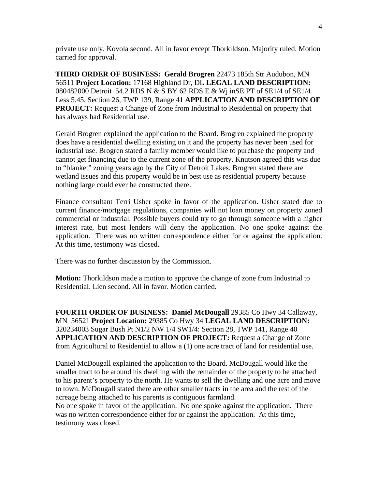private use only. Kovola second. All in favor except Thorkildson. Majority ruled. Motion carried for approval.

**THIRD ORDER OF BUSINESS: Gerald Brogren** 22473 185th Str Audubon, MN 56511 **Project Location:** 17168 Highland Dr, DL **LEGAL LAND DESCRIPTION:** 080482000 Detroit 54.2 RDS N & S BY 62 RDS E & Wj inSE PT of SE1/4 of SE1/4 Less 5.45, Section 26, TWP 139, Range 41 **APPLICATION AND DESCRIPTION OF PROJECT:** Request a Change of Zone from Industrial to Residential on property that has always had Residential use.

Gerald Brogren explained the application to the Board. Brogren explained the property does have a residential dwelling existing on it and the property has never been used for industrial use. Brogren stated a family member would like to purchase the property and cannot get financing due to the current zone of the property. Knutson agreed this was due to "blanket" zoning years ago by the City of Detroit Lakes. Brogren stated there are wetland issues and this property would be in best use as residential property because nothing large could ever be constructed there.

Finance consultant Terri Usher spoke in favor of the application. Usher stated due to current finance/mortgage regulations, companies will not loan money on property zoned commercial or industrial. Possible buyers could try to go through someone with a higher interest rate, but most lenders will deny the application. No one spoke against the application. There was no written correspondence either for or against the application. At this time, testimony was closed.

There was no further discussion by the Commission.

**Motion:** Thorkildson made a motion to approve the change of zone from Industrial to Residential. Lien second. All in favor. Motion carried.

**FOURTH ORDER OF BUSINESS: Daniel McDougall** 29385 Co Hwy 34 Callaway, MN 56521 **Project Location:** 29385 Co Hwy 34 **LEGAL LAND DESCRIPTION:** 320234003 Sugar Bush Pt N1/2 NW 1/4 SW1/4: Section 28, TWP 141, Range 40 **APPLICATION AND DESCRIPTION OF PROJECT:** Request a Change of Zone from Agricultural to Residential to allow a (1) one acre tract of land for residential use.

Daniel McDougall explained the application to the Board. McDougall would like the smaller tract to be around his dwelling with the remainder of the property to be attached to his parent's property to the north. He wants to sell the dwelling and one acre and move to town. McDougall stated there are other smaller tracts in the area and the rest of the acreage being attached to his parents is contiguous farmland.

No one spoke in favor of the application. No one spoke against the application. There was no written correspondence either for or against the application. At this time, testimony was closed.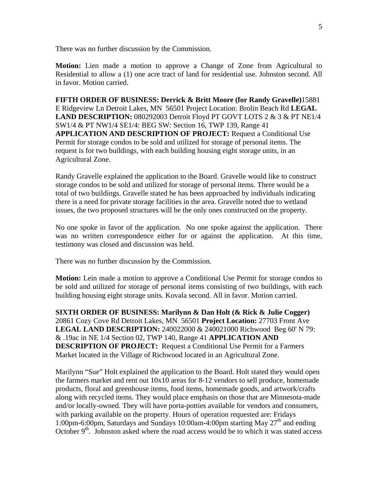There was no further discussion by the Commission.

**Motion:** Lien made a motion to approve a Change of Zone from Agricultural to Residential to allow a (1) one acre tract of land for residential use. Johnston second. All in favor. Motion carried.

**FIFTH ORDER OF BUSINESS: Derrick & Britt Moore (for Randy Gravelle)**15881 E Ridgeview Ln Detroit Lakes, MN 56501 Project Location: Brolin Beach Rd **LEGAL LAND DESCRIPTION:** 080292003 Detroit Floyd PT GOVT LOTS 2 & 3 & PT NE1/4 SW1/4 & PT NW1/4 SE1/4: BEG SW: Section 16, TWP 139, Range 41 **APPLICATION AND DESCRIPTION OF PROJECT:** Request a Conditional Use Permit for storage condos to be sold and utilized for storage of personal items. The request is for two buildings, with each building housing eight storage units, in an Agricultural Zone.

Randy Gravelle explained the application to the Board. Gravelle would like to construct storage condos to be sold and utilized for storage of personal items. There would be a total of two buildings. Gravelle stated he has been approached by individuals indicating there is a need for private storage facilities in the area. Gravelle noted due to wetland issues, the two proposed structures will be the only ones constructed on the property.

No one spoke in favor of the application. No one spoke against the application. There was no written correspondence either for or against the application. At this time, testimony was closed and discussion was held.

There was no further discussion by the Commission.

**Motion:** Lein made a motion to approve a Conditional Use Permit for storage condos to be sold and utilized for storage of personal items consisting of two buildings, with each building housing eight storage units. Kovala second. All in favor. Motion carried.

**SIXTH ORDER OF BUSINESS: Marilynn & Dan Holt (& Rick & Julie Cogger)**  20861 Cozy Cove Rd Detroit Lakes, MN 56501 **Project Location:** 27703 Front Ave **LEGAL LAND DESCRIPTION:** 240022000 & 240021000 Richwood Beg 60' N 79: & .19ac in NE 1/4 Section 02, TWP 140, Range 41 **APPLICATION AND DESCRIPTION OF PROJECT:** Request a Conditional Use Permit for a Farmers Market located in the Village of Richwood located in an Agricultural Zone.

Marilynn "Sue" Holt explained the application to the Board. Holt stated they would open the farmers market and rent out 10x10 areas for 8-12 vendors to sell produce, homemade products, floral and greenhouse items, food items, homemade goods, and artwork/crafts along with recycled items. They would place emphasis on those that are Minnesota-made and/or locally-owned. They will have porta-potties available for vendors and consumers, with parking available on the property. Hours of operation requested are: Fridays 1:00pm-6:00pm, Saturdays and Sundays 10:00am-4:00pm starting May  $27<sup>th</sup>$  and ending October  $9<sup>th</sup>$ . Johnston asked where the road access would be to which it was stated access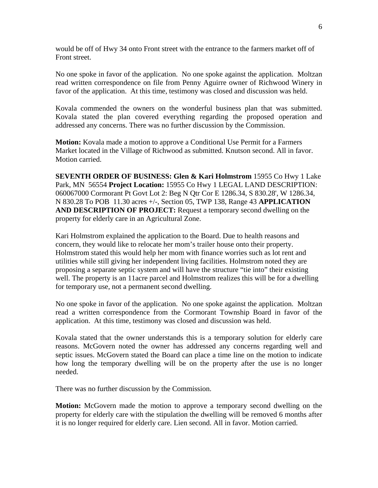would be off of Hwy 34 onto Front street with the entrance to the farmers market off of Front street.

No one spoke in favor of the application. No one spoke against the application. Moltzan read written correspondence on file from Penny Aguirre owner of Richwood Winery in favor of the application. At this time, testimony was closed and discussion was held.

Kovala commended the owners on the wonderful business plan that was submitted. Kovala stated the plan covered everything regarding the proposed operation and addressed any concerns. There was no further discussion by the Commission.

**Motion:** Kovala made a motion to approve a Conditional Use Permit for a Farmers Market located in the Village of Richwood as submitted. Knutson second. All in favor. Motion carried.

**SEVENTH ORDER OF BUSINESS: Glen & Kari Holmstrom** 15955 Co Hwy 1 Lake Park, MN 56554 **Project Location:** 15955 Co Hwy 1 LEGAL LAND DESCRIPTION: 060067000 Cormorant Pt Govt Lot 2: Beg N Qtr Cor E 1286.34, S 830.28', W 1286.34, N 830.28 To POB 11.30 acres +/-, Section 05, TWP 138, Range 43 **APPLICATION AND DESCRIPTION OF PROJECT:** Request a temporary second dwelling on the property for elderly care in an Agricultural Zone.

Kari Holmstrom explained the application to the Board. Due to health reasons and concern, they would like to relocate her mom's trailer house onto their property. Holmstrom stated this would help her mom with finance worries such as lot rent and utilities while still giving her independent living facilities. Holmstrom noted they are proposing a separate septic system and will have the structure "tie into" their existing well. The property is an 11acre parcel and Holmstrom realizes this will be for a dwelling for temporary use, not a permanent second dwelling.

No one spoke in favor of the application. No one spoke against the application. Moltzan read a written correspondence from the Cormorant Township Board in favor of the application. At this time, testimony was closed and discussion was held.

Kovala stated that the owner understands this is a temporary solution for elderly care reasons. McGovern noted the owner has addressed any concerns regarding well and septic issues. McGovern stated the Board can place a time line on the motion to indicate how long the temporary dwelling will be on the property after the use is no longer needed.

There was no further discussion by the Commission.

**Motion:** McGovern made the motion to approve a temporary second dwelling on the property for elderly care with the stipulation the dwelling will be removed 6 months after it is no longer required for elderly care. Lien second. All in favor. Motion carried.